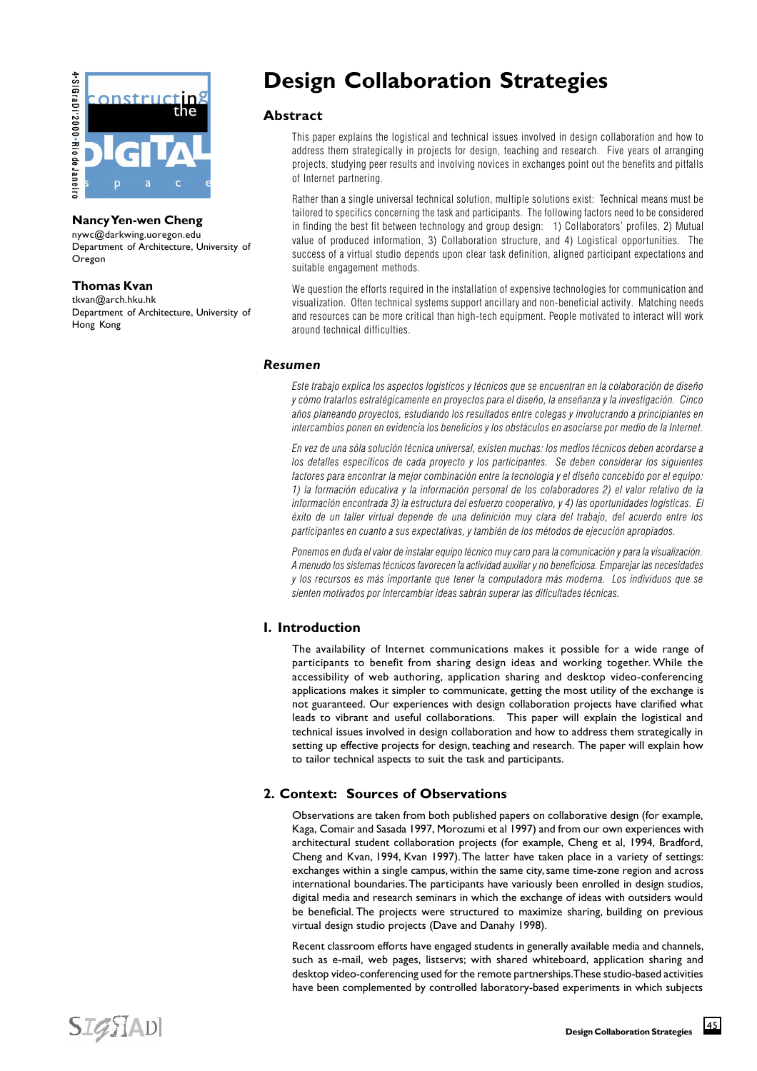

# **Nancy Yen-wen Cheng**

nywc@darkwing.uoregon.edu Department of Architecture, University of Oregon

## **Thomas Kvan**

tkvan@arch.hku.hk Department of Architecture, University of Hong Kong

# **Design Collaboration Strategies**

## **Abstract**

This paper explains the logistical and technical issues involved in design collaboration and how to address them strategically in projects for design, teaching and research. Five years of arranging projects, studying peer results and involving novices in exchanges point out the benefits and pitfalls of Internet partnering.

Rather than a single universal technical solution, multiple solutions exist: Technical means must be tailored to specifics concerning the task and participants. The following factors need to be considered in finding the best fit between technology and group design: 1) Collaborators' profiles, 2) Mutual value of produced information, 3) Collaboration structure, and 4) Logistical opportunities. The success of a virtual studio depends upon clear task definition, aligned participant expectations and suitable engagement methods.

We question the efforts required in the installation of expensive technologies for communication and visualization. Often technical systems support ancillary and non-beneficial activity. Matching needs and resources can be more critical than high-tech equipment. People motivated to interact will work around technical difficulties.

#### *Resumen*

Este trabajo explica los aspectos logísticos y técnicos que se encuentran en la colaboración de diseño y cómo tratarlos estratégicamente en proyectos para el diseño, la enseñanza y la investigación. Cinco años planeando proyectos, estudiando los resultados entre colegas y involucrando a principiantes en intercambios ponen en evidencia los beneficios y los obstáculos en asociarse por medio de la Internet.

En vez de una sóla solución técnica universal, existen muchas: los medios técnicos deben acordarse a los detalles específicos de cada proyecto y los participantes. Se deben considerar los siguientes factores para encontrar la mejor combinación entre la tecnología y el diseño concebido por el equipo: 1) la formación educativa y la información personal de los colaboradores 2) el valor relativo de la información encontrada 3) la estructura del esfuerzo cooperativo, y 4) las oportunidades logísticas. El éxito de un taller virtual depende de una definición muy clara del trabajo, del acuerdo entre los participantes en cuanto a sus expectativas, y también de los métodos de ejecución apropiados.

Ponemos en duda el valor de instalar equipo técnico muy caro para la comunicación y para la visualización. A menudo los sistemas técnicos favorecen la actividad auxiliar y no beneficiosa. Emparejar las necesidades y los recursos es más importante que tener la computadora más moderna. Los individuos que se sienten motivados por intercambiar ideas sabrán superar las dificultades técnicas.

# **I. Introduction**

The availability of Internet communications makes it possible for a wide range of participants to benefit from sharing design ideas and working together. While the accessibility of web authoring, application sharing and desktop video-conferencing applications makes it simpler to communicate, getting the most utility of the exchange is not guaranteed. Our experiences with design collaboration projects have clarified what leads to vibrant and useful collaborations. This paper will explain the logistical and technical issues involved in design collaboration and how to address them strategically in setting up effective projects for design, teaching and research. The paper will explain how to tailor technical aspects to suit the task and participants.

# **2. Context: Sources of Observations**

Observations are taken from both published papers on collaborative design (for example, Kaga, Comair and Sasada 1997, Morozumi et al 1997) and from our own experiences with architectural student collaboration projects (for example, Cheng et al, 1994, Bradford, Cheng and Kvan, 1994, Kvan 1997). The latter have taken place in a variety of settings: exchanges within a single campus, within the same city, same time-zone region and across international boundaries. The participants have variously been enrolled in design studios, digital media and research seminars in which the exchange of ideas with outsiders would be beneficial. The projects were structured to maximize sharing, building on previous virtual design studio projects (Dave and Danahy 1998).

Recent classroom efforts have engaged students in generally available media and channels, such as e-mail, web pages, listservs; with shared whiteboard, application sharing and desktop video-conferencing used for the remote partnerships. These studio-based activities have been complemented by controlled laboratory-based experiments in which subjects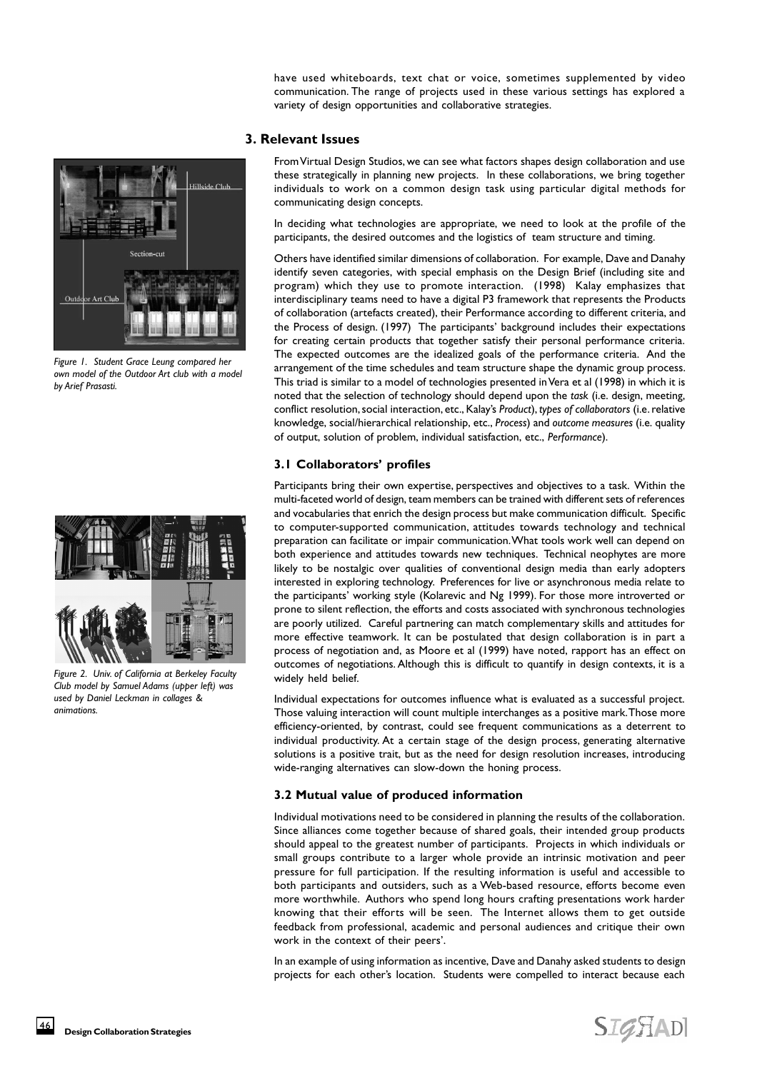have used whiteboards, text chat or voice, sometimes supplemented by video communication. The range of projects used in these various settings has explored a variety of design opportunities and collaborative strategies.

#### **3. Relevant Issues**

From Virtual Design Studios, we can see what factors shapes design collaboration and use these strategically in planning new projects. In these collaborations, we bring together individuals to work on a common design task using particular digital methods for communicating design concepts.

In deciding what technologies are appropriate, we need to look at the profile of the participants, the desired outcomes and the logistics of team structure and timing.

Others have identified similar dimensions of collaboration. For example, Dave and Danahy identify seven categories, with special emphasis on the Design Brief (including site and program) which they use to promote interaction. (1998) Kalay emphasizes that interdisciplinary teams need to have a digital P3 framework that represents the Products of collaboration (artefacts created), their Performance according to different criteria, and the Process of design. (1997) The participants' background includes their expectations for creating certain products that together satisfy their personal performance criteria. The expected outcomes are the idealized goals of the performance criteria. And the arrangement of the time schedules and team structure shape the dynamic group process. This triad is similar to a model of technologies presented in Vera et al (1998) in which it is noted that the selection of technology should depend upon the *task* (i.e. design, meeting, conflict resolution, social interaction, etc., Kalay's *Product*), *types of collaborators* (i.e. relative knowledge, social/hierarchical relationship, etc., *Process*) and *outcome measures* (i.e. quality of output, solution of problem, individual satisfaction, etc., *Performance*).

## **3.1 Collaborators' profiles**

Participants bring their own expertise, perspectives and objectives to a task. Within the multi-faceted world of design, team members can be trained with different sets of references and vocabularies that enrich the design process but make communication difficult. Specific to computer-supported communication, attitudes towards technology and technical preparation can facilitate or impair communication. What tools work well can depend on both experience and attitudes towards new techniques. Technical neophytes are more likely to be nostalgic over qualities of conventional design media than early adopters interested in exploring technology. Preferences for live or asynchronous media relate to the participants' working style (Kolarevic and Ng 1999). For those more introverted or prone to silent reflection, the efforts and costs associated with synchronous technologies are poorly utilized. Careful partnering can match complementary skills and attitudes for more effective teamwork. It can be postulated that design collaboration is in part a process of negotiation and, as Moore et al (1999) have noted, rapport has an effect on outcomes of negotiations. Although this is difficult to quantify in design contexts, it is a widely held belief.

Individual expectations for outcomes influence what is evaluated as a successful project. Those valuing interaction will count multiple interchanges as a positive mark. Those more efficiency-oriented, by contrast, could see frequent communications as a deterrent to individual productivity. At a certain stage of the design process, generating alternative solutions is a positive trait, but as the need for design resolution increases, introducing wide-ranging alternatives can slow-down the honing process.

## **3.2 Mutual value of produced information**

Individual motivations need to be considered in planning the results of the collaboration. Since alliances come together because of shared goals, their intended group products should appeal to the greatest number of participants. Projects in which individuals or small groups contribute to a larger whole provide an intrinsic motivation and peer pressure for full participation. If the resulting information is useful and accessible to both participants and outsiders, such as a Web-based resource, efforts become even more worthwhile. Authors who spend long hours crafting presentations work harder knowing that their efforts will be seen. The Internet allows them to get outside feedback from professional, academic and personal audiences and critique their own work in the context of their peers'.

In an example of using information as incentive, Dave and Danahy asked students to design projects for each other's location. Students were compelled to interact because each

*Figure 1. Student Grace Leung compared her own model of the Outdoor Art club with a model by Arief Prasasti.*

Outdo

or Art Club

.<br>Hillside Club



*Figure 2. Univ. of California at Berkeley Faculty Club model by Samuel Adams (upper left) was used by Daniel Leckman in collages & animations.*

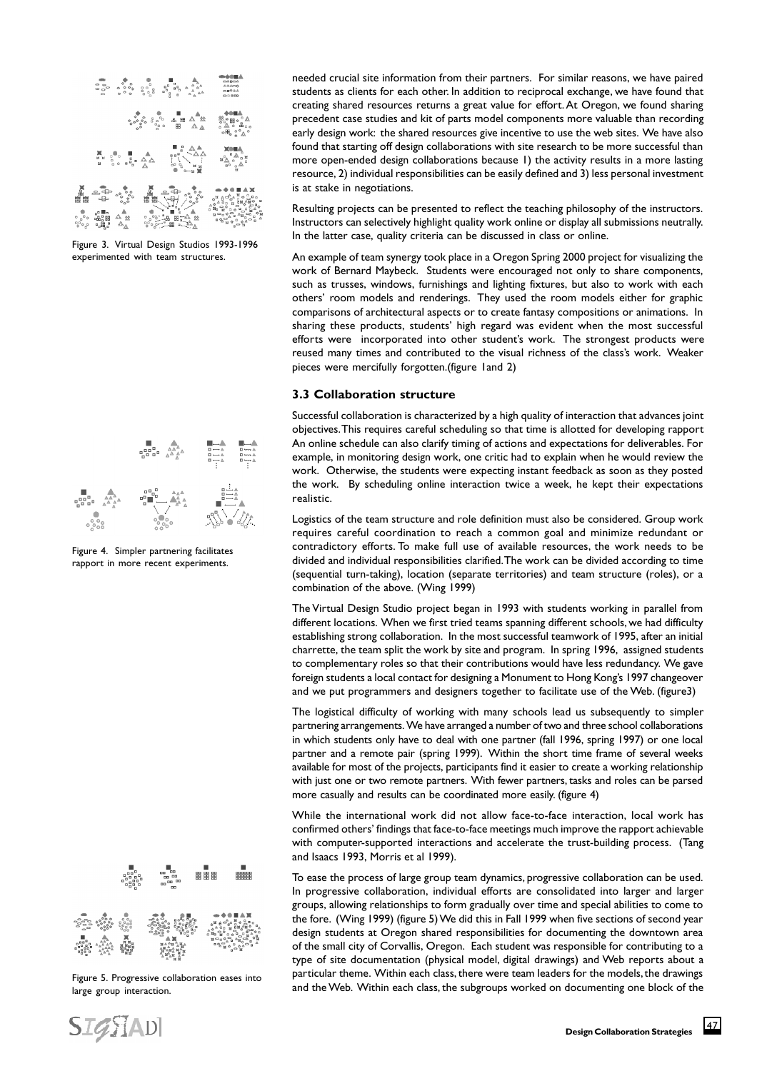

Figure 3. Virtual Design Studios 1993-1996 experimented with team structures.



Figure 4. Simpler partnering facilitates rapport in more recent experiments.



Figure 5. Progressive collaboration eases into large group interaction.

needed crucial site information from their partners. For similar reasons, we have paired students as clients for each other. In addition to reciprocal exchange, we have found that creating shared resources returns a great value for effort. At Oregon, we found sharing precedent case studies and kit of parts model components more valuable than recording early design work: the shared resources give incentive to use the web sites. We have also found that starting off design collaborations with site research to be more successful than more open-ended design collaborations because 1) the activity results in a more lasting resource, 2) individual responsibilities can be easily defined and 3) less personal investment is at stake in negotiations.

Resulting projects can be presented to reflect the teaching philosophy of the instructors. Instructors can selectively highlight quality work online or display all submissions neutrally. In the latter case, quality criteria can be discussed in class or online.

An example of team synergy took place in a Oregon Spring 2000 project for visualizing the work of Bernard Maybeck. Students were encouraged not only to share components, such as trusses, windows, furnishings and lighting fixtures, but also to work with each others' room models and renderings. They used the room models either for graphic comparisons of architectural aspects or to create fantasy compositions or animations. In sharing these products, students' high regard was evident when the most successful efforts were incorporated into other student's work. The strongest products were reused many times and contributed to the visual richness of the class's work. Weaker pieces were mercifully forgotten.(figure 1and 2)

#### **3.3 Collaboration structure**

Successful collaboration is characterized by a high quality of interaction that advances joint objectives. This requires careful scheduling so that time is allotted for developing rapport An online schedule can also clarify timing of actions and expectations for deliverables. For example, in monitoring design work, one critic had to explain when he would review the work. Otherwise, the students were expecting instant feedback as soon as they posted the work. By scheduling online interaction twice a week, he kept their expectations realistic.

Logistics of the team structure and role definition must also be considered. Group work requires careful coordination to reach a common goal and minimize redundant or contradictory efforts. To make full use of available resources, the work needs to be divided and individual responsibilities clarified. The work can be divided according to time (sequential turn-taking), location (separate territories) and team structure (roles), or a combination of the above. (Wing 1999)

The Virtual Design Studio project began in 1993 with students working in parallel from different locations. When we first tried teams spanning different schools, we had difficulty establishing strong collaboration. In the most successful teamwork of 1995, after an initial charrette, the team split the work by site and program. In spring 1996, assigned students to complementary roles so that their contributions would have less redundancy. We gave foreign students a local contact for designing a Monument to Hong Kong's 1997 changeover and we put programmers and designers together to facilitate use of the Web. (figure3)

The logistical difficulty of working with many schools lead us subsequently to simpler partnering arrangements. We have arranged a number of two and three school collaborations in which students only have to deal with one partner (fall 1996, spring 1997) or one local partner and a remote pair (spring 1999). Within the short time frame of several weeks available for most of the projects, participants find it easier to create a working relationship with just one or two remote partners. With fewer partners, tasks and roles can be parsed more casually and results can be coordinated more easily. (figure 4)

While the international work did not allow face-to-face interaction, local work has confirmed others' findings that face-to-face meetings much improve the rapport achievable with computer-supported interactions and accelerate the trust-building process. (Tang and Isaacs 1993, Morris et al 1999).

To ease the process of large group team dynamics, progressive collaboration can be used. In progressive collaboration, individual efforts are consolidated into larger and larger groups, allowing relationships to form gradually over time and special abilities to come to the fore. (Wing 1999) (figure 5) We did this in Fall 1999 when five sections of second year design students at Oregon shared responsibilities for documenting the downtown area of the small city of Corvallis, Oregon. Each student was responsible for contributing to a type of site documentation (physical model, digital drawings) and Web reports about a particular theme. Within each class, there were team leaders for the models, the drawings and the Web. Within each class, the subgroups worked on documenting one block of the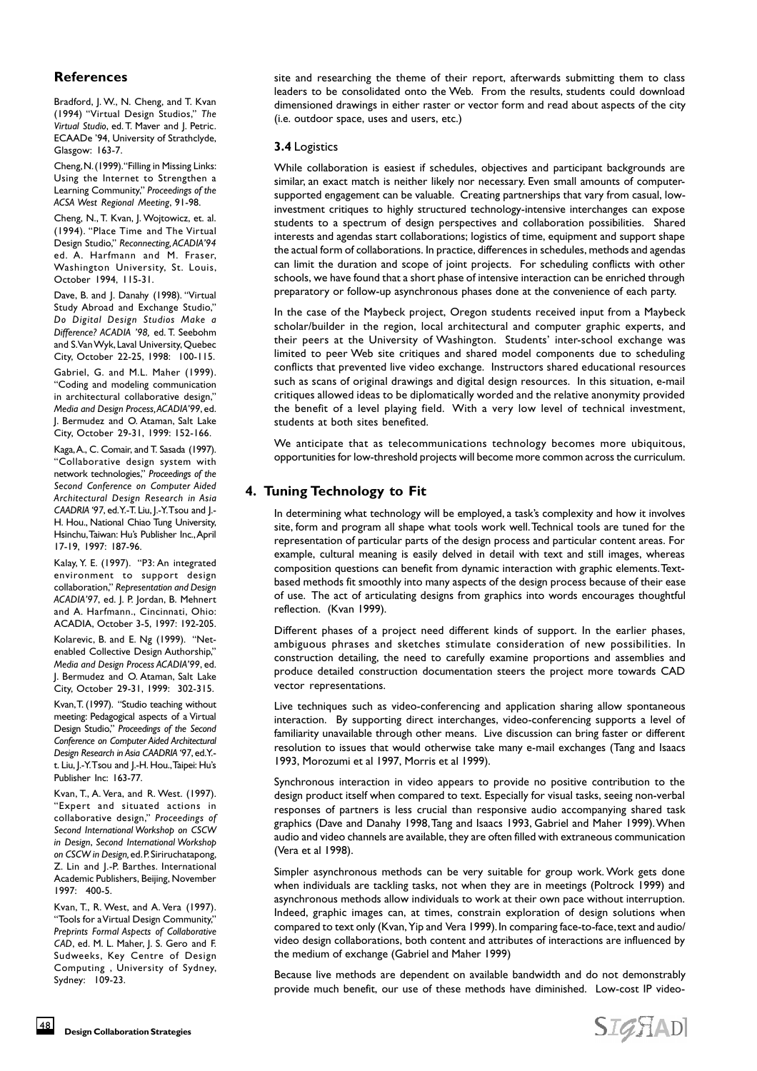# **References**

Bradford, J. W., N. Cheng, and T. Kvan (1994) "Virtual Design Studios," *The Virtual Studio*, ed. T. Maver and J. Petric. ECAADe '94, University of Strathclyde, Glasgow: 163-7.

Cheng, N. (1999). "Filling in Missing Links: Using the Internet to Strengthen a Learning Community," *Proceedings of the ACSA West Regional Meeting*, 91-98.

Cheng, N., T. Kvan, J. Wojtowicz, et. al. (1994). "Place Time and The Virtual Design Studio," *Reconnecting, ACADIA'94* ed. A. Harfmann and M. Fraser, Washington University, St. Louis, October 1994, 115-31.

Dave, B. and J. Danahy (1998). "Virtual Study Abroad and Exchange Studio," *Do Digital Design Studios Make a Difference? ACADIA '98,* ed. T. Seebohm and S. Van Wyk, Laval University, Quebec City, October 22-25, 1998: 100-115.

Gabriel, G. and M.L. Maher (1999). "Coding and modeling communication in architectural collaborative design," *Media and Design Process, ACADIA'99*, ed. J. Bermudez and O. Ataman, Salt Lake City, October 29-31, 1999: 152-166.

Kaga, A., C. Comair, and T. Sasada (1997). "Collaborative design system with network technologies," *Proceedings of the Second Conference on Computer Aided Architectural Design Research in Asia CAADRIA '97*, ed. Y.-T. Liu, J.-Y. Tsou and J.- H. Hou., National Chiao Tung University, Hsinchu, Taiwan: Hu's Publisher Inc., April 17-19, 1997: 187-96.

Kalay, Y. E. (1997). "P3: An integrated environment to support design collaboration," *Representation and Design ACADIA'97*, ed. J. P. Jordan, B. Mehnert and A. Harfmann., Cincinnati, Ohio: ACADIA, October 3-5, 1997: 192-205.

Kolarevic, B. and E. Ng (1999). "Netenabled Collective Design Authorship," *Media and Design Process ACADIA'99*, ed. J. Bermudez and O. Ataman, Salt Lake City, October 29-31, 1999: 302-315.

Kvan, T. (1997). "Studio teaching without meeting: Pedagogical aspects of a Virtual Design Studio," *Proceedings of the Second Conference on Computer Aided Architectural Design Research in Asia CAADRIA '97*, ed. Y. t. Liu, J.-Y. Tsou and J.-H. Hou., Taipei: Hu's Publisher Inc: 163-77.

Kvan, T., A. Vera, and R. West. (1997). "Expert and situated actions in collaborative design," *Proceedings of Second International Workshop on CSCW in Design*, *Second International Workshop on CSCW in Design,* ed. P. Siriruchatapong, Z. Lin and J.-P. Barthes. International Academic Publishers, Beijing, November 1997: 400-5.

Kvan, T., R. West, and A. Vera (1997). "Tools for a Virtual Design Community," *Preprints Formal Aspects of Collaborative CAD*, ed. M. L. Maher, J. S. Gero and F. Sudweeks, Key Centre of Design Computing , University of Sydney, Sydney: 109-23.

site and researching the theme of their report, afterwards submitting them to class leaders to be consolidated onto the Web. From the results, students could download dimensioned drawings in either raster or vector form and read about aspects of the city (i.e. outdoor space, uses and users, etc.)

#### **3.4** Logistics

While collaboration is easiest if schedules, objectives and participant backgrounds are similar, an exact match is neither likely nor necessary. Even small amounts of computersupported engagement can be valuable. Creating partnerships that vary from casual, lowinvestment critiques to highly structured technology-intensive interchanges can expose students to a spectrum of design perspectives and collaboration possibilities. Shared interests and agendas start collaborations; logistics of time, equipment and support shape the actual form of collaborations. In practice, differences in schedules, methods and agendas can limit the duration and scope of joint projects. For scheduling conflicts with other schools, we have found that a short phase of intensive interaction can be enriched through preparatory or follow-up asynchronous phases done at the convenience of each party.

In the case of the Maybeck project, Oregon students received input from a Maybeck scholar/builder in the region, local architectural and computer graphic experts, and their peers at the University of Washington. Students' inter-school exchange was limited to peer Web site critiques and shared model components due to scheduling conflicts that prevented live video exchange. Instructors shared educational resources such as scans of original drawings and digital design resources. In this situation, e-mail critiques allowed ideas to be diplomatically worded and the relative anonymity provided the benefit of a level playing field. With a very low level of technical investment, students at both sites benefited.

We anticipate that as telecommunications technology becomes more ubiquitous, opportunities for low-threshold projects will become more common across the curriculum.

# **4. Tuning Technology to Fit**

In determining what technology will be employed, a task's complexity and how it involves site, form and program all shape what tools work well. Technical tools are tuned for the representation of particular parts of the design process and particular content areas. For example, cultural meaning is easily delved in detail with text and still images, whereas composition questions can benefit from dynamic interaction with graphic elements. Textbased methods fit smoothly into many aspects of the design process because of their ease of use. The act of articulating designs from graphics into words encourages thoughtful reflection. (Kvan 1999).

Different phases of a project need different kinds of support. In the earlier phases, ambiguous phrases and sketches stimulate consideration of new possibilities. In construction detailing, the need to carefully examine proportions and assemblies and produce detailed construction documentation steers the project more towards CAD vector representations.

Live techniques such as video-conferencing and application sharing allow spontaneous interaction. By supporting direct interchanges, video-conferencing supports a level of familiarity unavailable through other means. Live discussion can bring faster or different resolution to issues that would otherwise take many e-mail exchanges (Tang and Isaacs 1993, Morozumi et al 1997, Morris et al 1999).

Synchronous interaction in video appears to provide no positive contribution to the design product itself when compared to text. Especially for visual tasks, seeing non-verbal responses of partners is less crucial than responsive audio accompanying shared task graphics (Dave and Danahy 1998, Tang and Isaacs 1993, Gabriel and Maher 1999). When audio and video channels are available, they are often filled with extraneous communication (Vera et al 1998).

Simpler asynchronous methods can be very suitable for group work. Work gets done when individuals are tackling tasks, not when they are in meetings (Poltrock 1999) and asynchronous methods allow individuals to work at their own pace without interruption. Indeed, graphic images can, at times, constrain exploration of design solutions when compared to text only (Kvan, Yip and Vera 1999). In comparing face-to-face, text and audio/ video design collaborations, both content and attributes of interactions are influenced by the medium of exchange (Gabriel and Maher 1999)

Because live methods are dependent on available bandwidth and do not demonstrably provide much benefit, our use of these methods have diminished. Low-cost IP video-